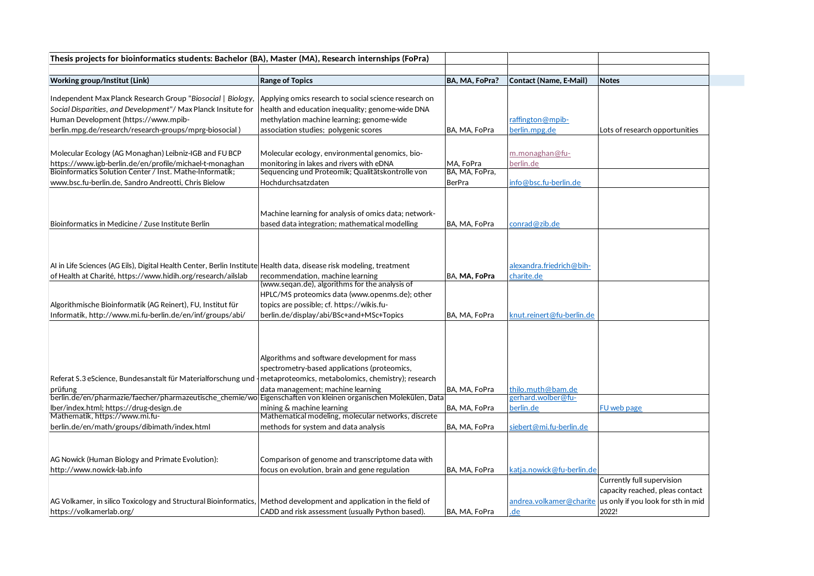| Thesis projects for bioinformatics students: Bachelor (BA), Master (MA), Research internships (FoPra)                |                                                                                  |                |                               |                                    |
|----------------------------------------------------------------------------------------------------------------------|----------------------------------------------------------------------------------|----------------|-------------------------------|------------------------------------|
|                                                                                                                      |                                                                                  |                |                               |                                    |
| Working group/Institut (Link)                                                                                        | <b>Range of Topics</b>                                                           | BA, MA, FoPra? | <b>Contact (Name, E-Mail)</b> | <b>Notes</b>                       |
| Independent Max Planck Research Group "Biosocial   Biology,                                                          | Applying omics research to social science research on                            |                |                               |                                    |
| Social Disparities, and Development"/ Max Planck Insitute for                                                        | health and education inequality; genome-wide DNA                                 |                |                               |                                    |
| Human Development (https://www.mpib-                                                                                 | methylation machine learning; genome-wide                                        |                | raffington@mpib-              |                                    |
| berlin.mpg.de/research/research-groups/mprg-biosocial)                                                               | association studies; polygenic scores                                            | BA. MA. FoPra  | berlin.mpg.de                 | Lots of research opportunities     |
|                                                                                                                      |                                                                                  |                |                               |                                    |
| Molecular Ecology (AG Monaghan) Leibniz-IGB and FU BCP                                                               | Molecular ecology, environmental genomics, bio-                                  |                |                               |                                    |
| https://www.igb-berlin.de/en/profile/michael-t-monaghan                                                              | monitoring in lakes and rivers with eDNA                                         | MA, FoPra      | m.monaghan@fu-<br>berlin.de   |                                    |
| Bioinformatics Solution Center / Inst. Mathe-Informatik:                                                             | Sequencing und Proteomik; Qualitätskontrolle von                                 | BA, MA, FoPra, |                               |                                    |
| www.bsc.fu-berlin.de, Sandro Andreotti, Chris Bielow                                                                 | Hochdurchsatzdaten                                                               | BerPra         | info@bsc.fu-berlin.de         |                                    |
|                                                                                                                      |                                                                                  |                |                               |                                    |
|                                                                                                                      |                                                                                  |                |                               |                                    |
|                                                                                                                      | Machine learning for analysis of omics data; network-                            |                |                               |                                    |
| Bioinformatics in Medicine / Zuse Institute Berlin                                                                   | based data integration; mathematical modelling                                   | BA, MA, FoPra  | conrad@zib.de                 |                                    |
|                                                                                                                      |                                                                                  |                |                               |                                    |
|                                                                                                                      |                                                                                  |                |                               |                                    |
|                                                                                                                      |                                                                                  |                |                               |                                    |
| AI in Life Sciences (AG Eils), Digital Health Center, Berlin Institute Health data, disease risk modeling, treatment |                                                                                  |                | alexandra.friedrich@bih-      |                                    |
| of Health at Charité, https://www.hidih.org/research/ailslab                                                         | recommendation, machine learning                                                 | BA. MA. FoPra  | charite.de                    |                                    |
|                                                                                                                      | (www.segan.de), algorithms for the analysis of                                   |                |                               |                                    |
|                                                                                                                      | HPLC/MS proteomics data (www.openms.de); other                                   |                |                               |                                    |
| Algorithmische Bioinformatik (AG Reinert), FU, Institut für                                                          | topics are possible; cf. https://wikis.fu-                                       |                |                               |                                    |
| Informatik, http://www.mi.fu-berlin.de/en/inf/groups/abi/                                                            | berlin.de/display/abi/BSc+and+MSc+Topics                                         | BA, MA, FoPra  | knut.reinert@fu-berlin.de     |                                    |
|                                                                                                                      |                                                                                  |                |                               |                                    |
|                                                                                                                      |                                                                                  |                |                               |                                    |
|                                                                                                                      |                                                                                  |                |                               |                                    |
|                                                                                                                      | Algorithms and software development for mass                                     |                |                               |                                    |
|                                                                                                                      | spectrometry-based applications (proteomics,                                     |                |                               |                                    |
| Referat S.3 eScience, Bundesanstalt für Materialforschung und - metaproteomics, metabolomics, chemistry); research   |                                                                                  |                |                               |                                    |
| prüfung                                                                                                              | data management; machine learning                                                | BA, MA, FoPra  | thilo.muth@bam.de             |                                    |
| berlin.de/en/pharmazie/faecher/pharmazeutische_chemie/wo Eigenschaften von kleinen organischen Molekülen, Data       |                                                                                  |                | eerhard.wolber@fu-            |                                    |
| lber/index.html; https://drug-design.de<br>Mathematik, https://www.mi.fu-                                            | mining & machine learning<br>Mathematical modeling, molecular networks, discrete | BA, MA, FoPra  | berlin.de                     | FU web page                        |
|                                                                                                                      |                                                                                  | BA, MA, FoPra  | siebert@mi.fu-berlin.de       |                                    |
| berlin.de/en/math/groups/dibimath/index.html                                                                         | methods for system and data analysis                                             |                |                               |                                    |
|                                                                                                                      |                                                                                  |                |                               |                                    |
|                                                                                                                      |                                                                                  |                |                               |                                    |
| AG Nowick (Human Biology and Primate Evolution):                                                                     | Comparison of genome and transcriptome data with                                 |                |                               |                                    |
| http://www.nowick-lab.info                                                                                           | focus on evolution, brain and gene regulation                                    | BA, MA, FoPra  | katja.nowick@fu-berlin.de     |                                    |
|                                                                                                                      |                                                                                  |                |                               | Currently full supervision         |
|                                                                                                                      |                                                                                  |                |                               | capacity reached, pleas contact    |
| AG Volkamer, in silico Toxicology and Structural Bioinformatics, Method development and application in the field of  |                                                                                  |                | andrea.volkamer@charite       | us only if you look for sth in mid |
| https://volkamerlab.org/                                                                                             | CADD and risk assessment (usually Python based).                                 | BA, MA, FoPra  | .de                           | 2022!                              |